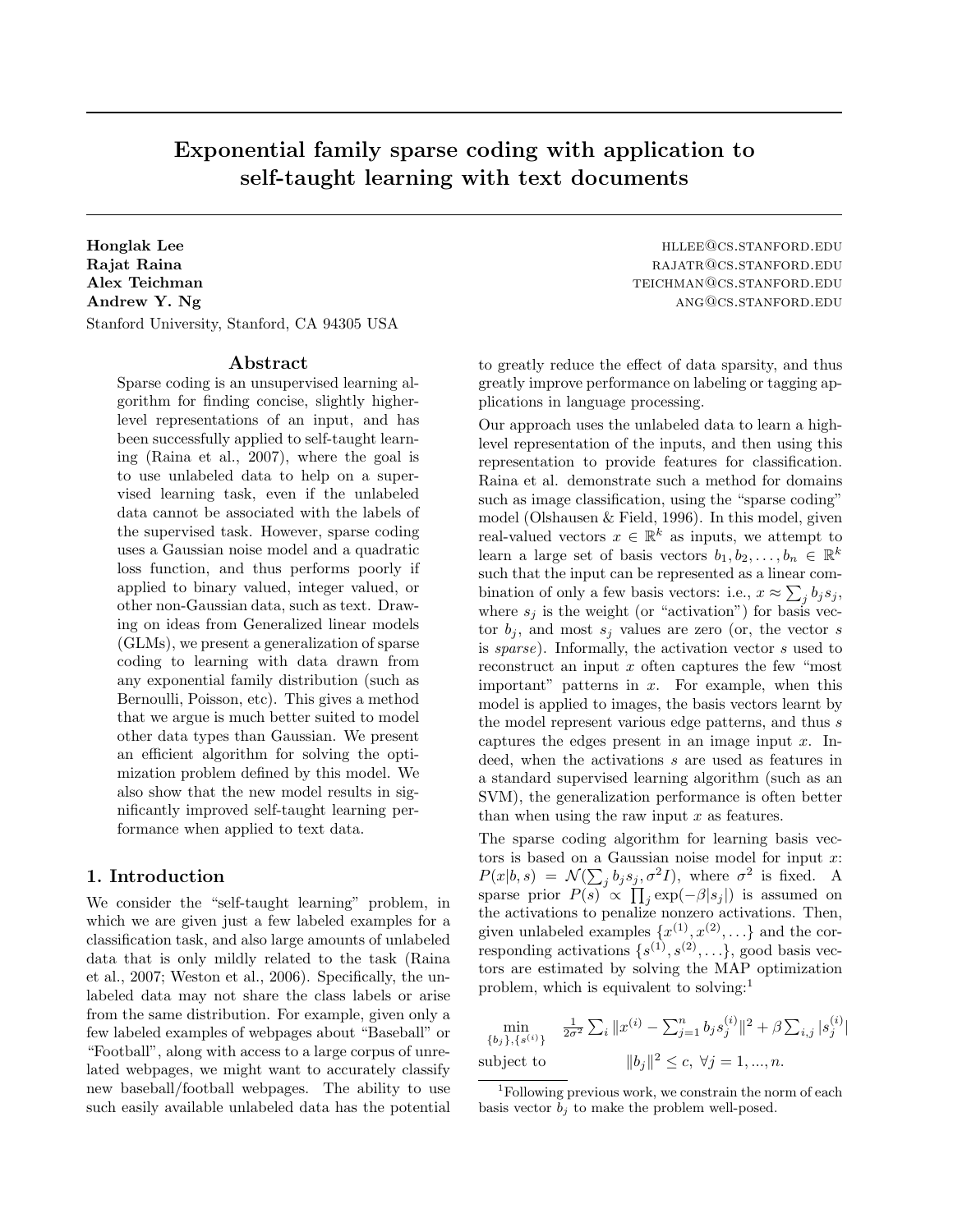# Exponential family sparse coding with application to self-taught learning with text documents

Honglak Lee held and the host of the highest state of the highest state of the highest standard method. End is Rajat Raina rajatra rajatra rajatra rajatra rajatra rajatra rajatra rajatra rajatra rajatra rajatra rajatra ra Alex Teichman teichman teichman teichman teichman teichman teichman teichman teichman teichman teichman teichman teichman teichman teichman teichman teichman teichman teichman teichman teichman teichman teichman teichman t Andrew Y. Ng ANG@CS.STANFORD.EDU Stanford University, Stanford, CA 94305 USA

#### Abstract

Sparse coding is an unsupervised learning algorithm for finding concise, slightly higherlevel representations of an input, and has been successfully applied to self-taught learning (Raina et al., 2007), where the goal is to use unlabeled data to help on a supervised learning task, even if the unlabeled data cannot be associated with the labels of the supervised task. However, sparse coding uses a Gaussian noise model and a quadratic loss function, and thus performs poorly if applied to binary valued, integer valued, or other non-Gaussian data, such as text. Drawing on ideas from Generalized linear models (GLMs), we present a generalization of sparse coding to learning with data drawn from any exponential family distribution (such as Bernoulli, Poisson, etc). This gives a method that we argue is much better suited to model other data types than Gaussian. We present an efficient algorithm for solving the optimization problem defined by this model. We also show that the new model results in significantly improved self-taught learning performance when applied to text data.

### 1. Introduction

We consider the "self-taught learning" problem, in which we are given just a few labeled examples for a classification task, and also large amounts of unlabeled data that is only mildly related to the task (Raina et al., 2007; Weston et al., 2006). Specifically, the unlabeled data may not share the class labels or arise from the same distribution. For example, given only a few labeled examples of webpages about "Baseball" or "Football", along with access to a large corpus of unrelated webpages, we might want to accurately classify new baseball/football webpages. The ability to use such easily available unlabeled data has the potential

to greatly reduce the effect of data sparsity, and thus greatly improve performance on labeling or tagging applications in language processing.

Our approach uses the unlabeled data to learn a highlevel representation of the inputs, and then using this representation to provide features for classification. Raina et al. demonstrate such a method for domains such as image classification, using the "sparse coding" model (Olshausen & Field, 1996). In this model, given real-valued vectors  $x \in \mathbb{R}^k$  as inputs, we attempt to learn a large set of basis vectors  $b_1, b_2, \ldots, b_n \in \mathbb{R}^k$ such that the input can be represented as a linear combination of only a few basis vectors: i.e.,  $x \approx \sum_j b_j s_j$ , where  $s_j$  is the weight (or "activation") for basis vector  $b_j$ , and most  $s_j$  values are zero (or, the vector s is sparse). Informally, the activation vector s used to reconstruct an input  $x$  often captures the few "most" important" patterns in  $x$ . For example, when this model is applied to images, the basis vectors learnt by the model represent various edge patterns, and thus s captures the edges present in an image input  $x$ . Indeed, when the activations s are used as features in a standard supervised learning algorithm (such as an SVM), the generalization performance is often better than when using the raw input  $x$  as features.

The sparse coding algorithm for learning basis vectors is based on a Gaussian noise model for input  $x$ :  $P(x|b, s) = \mathcal{N}(\sum_j b_j s_j, \sigma^2 I)$ , where  $\sigma^2$  is fixed. A sparse prior  $P(s) \propto \prod_j \exp(-\beta |s_j|)$  is assumed on the activations to penalize nonzero activations. Then, given unlabeled examples  $\{x^{(1)}, x^{(2)}, \ldots\}$  and the corresponding activations  $\{s^{(1)}, s^{(2)}, \ldots\}$ , good basis vectors are estimated by solving the MAP optimization problem, which is equivalent to solving:<sup>1</sup>

$$
\min_{\{b_j\},\{s^{(i)}\}} \quad \frac{1}{2\sigma^2} \sum_i \|x^{(i)} - \sum_{j=1}^n b_j s_j^{(i)}\|^2 + \beta \sum_{i,j} |s_j^{(i)}|
$$
\nsubject to\n
$$
\|b_j\|^2 \le c, \ \forall j = 1, ..., n.
$$

<sup>&</sup>lt;sup>1</sup>Following previous work, we constrain the norm of each basis vector  $b_i$  to make the problem well-posed.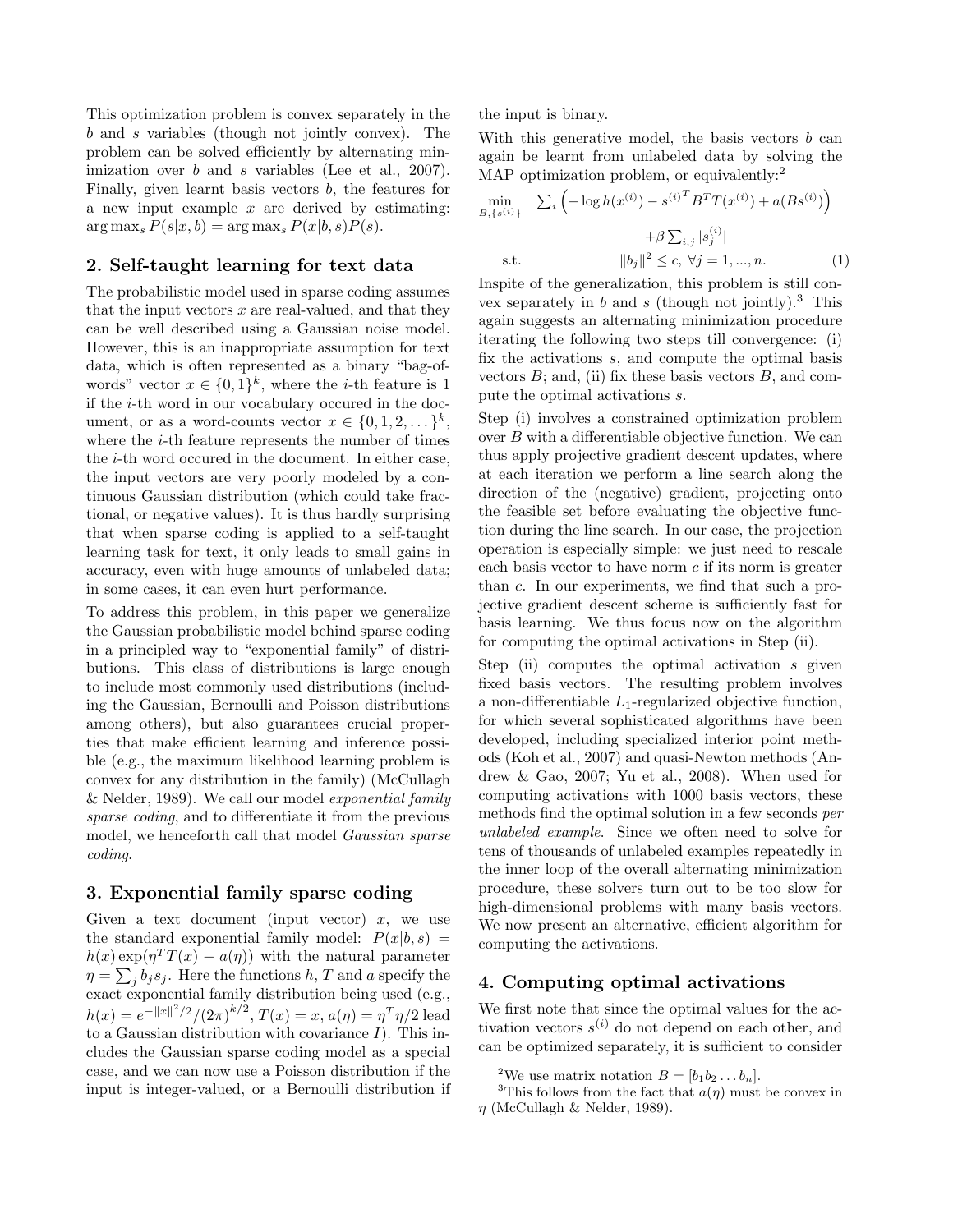This optimization problem is convex separately in the b and s variables (though not jointly convex). The problem can be solved efficiently by alternating minimization over b and s variables (Lee et al., 2007). Finally, given learnt basis vectors  $b$ , the features for a new input example  $x$  are derived by estimating:  $\arg \max_{s} P(s|x, b) = \arg \max_{s} P(x|b, s)P(s).$ 

## 2. Self-taught learning for text data

The probabilistic model used in sparse coding assumes that the input vectors  $x$  are real-valued, and that they can be well described using a Gaussian noise model. However, this is an inappropriate assumption for text data, which is often represented as a binary "bag-ofwords" vector  $x \in \{0,1\}^k$ , where the *i*-th feature is 1 if the i-th word in our vocabulary occured in the document, or as a word-counts vector  $x \in \{0, 1, 2, \dots\}^k$ , where the *i*-th feature represents the number of times the i-th word occured in the document. In either case, the input vectors are very poorly modeled by a continuous Gaussian distribution (which could take fractional, or negative values). It is thus hardly surprising that when sparse coding is applied to a self-taught learning task for text, it only leads to small gains in accuracy, even with huge amounts of unlabeled data; in some cases, it can even hurt performance.

To address this problem, in this paper we generalize the Gaussian probabilistic model behind sparse coding in a principled way to "exponential family" of distributions. This class of distributions is large enough to include most commonly used distributions (including the Gaussian, Bernoulli and Poisson distributions among others), but also guarantees crucial properties that make efficient learning and inference possible (e.g., the maximum likelihood learning problem is convex for any distribution in the family) (McCullagh & Nelder, 1989). We call our model exponential family sparse coding, and to differentiate it from the previous model, we henceforth call that model Gaussian sparse coding.

#### 3. Exponential family sparse coding

Given a text document (input vector)  $x$ , we use the standard exponential family model:  $P(x|b, s) =$  $h(x) \exp(\eta^T T(x) - a(\eta))$  with the natural parameter  $\eta = \sum_j b_j s_j$ . Here the functions h, T and a specify the exact exponential family distribution being used (e.g.,  $h(x) = e^{-||x||^2/2}/(2\pi)^{k/2}, T(x) = x, a(\eta) = \eta^T \eta/2$  lead to a Gaussian distribution with covariance  $I$ ). This includes the Gaussian sparse coding model as a special case, and we can now use a Poisson distribution if the input is integer-valued, or a Bernoulli distribution if the input is binary.

With this generative model, the basis vectors  $b$  can again be learnt from unlabeled data by solving the MAP optimization problem, or equivalently:<sup>2</sup>

$$
\min_{B, \{s^{(i)}\}} \sum_{i} \left( -\log h(x^{(i)}) - s^{(i)}^T B^T T(x^{(i)}) + a(Bs^{(i)}) \right) + \beta \sum_{i,j} |s_j^{(i)}|
$$
\n
$$
\text{s.t.} \qquad ||b_j||^2 \le c, \ \forall j = 1, ..., n. \tag{1}
$$

Inspite of the generalization, this problem is still convex separately in b and s (though not jointly).<sup>3</sup> This again suggests an alternating minimization procedure iterating the following two steps till convergence: (i) fix the activations s, and compute the optimal basis vectors  $B$ ; and, (ii) fix these basis vectors  $B$ , and compute the optimal activations s.

Step (i) involves a constrained optimization problem over B with a differentiable objective function. We can thus apply projective gradient descent updates, where at each iteration we perform a line search along the direction of the (negative) gradient, projecting onto the feasible set before evaluating the objective function during the line search. In our case, the projection operation is especially simple: we just need to rescale each basis vector to have norm c if its norm is greater than c. In our experiments, we find that such a projective gradient descent scheme is sufficiently fast for basis learning. We thus focus now on the algorithm for computing the optimal activations in Step (ii).

Step (ii) computes the optimal activation  $s$  given fixed basis vectors. The resulting problem involves a non-differentiable  $L_1$ -regularized objective function, for which several sophisticated algorithms have been developed, including specialized interior point methods (Koh et al., 2007) and quasi-Newton methods (Andrew & Gao, 2007; Yu et al., 2008). When used for computing activations with 1000 basis vectors, these methods find the optimal solution in a few seconds per unlabeled example. Since we often need to solve for tens of thousands of unlabeled examples repeatedly in the inner loop of the overall alternating minimization procedure, these solvers turn out to be too slow for high-dimensional problems with many basis vectors. We now present an alternative, efficient algorithm for computing the activations.

## 4. Computing optimal activations

We first note that since the optimal values for the activation vectors  $s^{(i)}$  do not depend on each other, and can be optimized separately, it is sufficient to consider

<sup>&</sup>lt;sup>2</sup>We use matrix notation  $B = [b_1b_2 \dots b_n]$ .

<sup>&</sup>lt;sup>3</sup>This follows from the fact that  $a(\eta)$  must be convex in  $\eta$  (McCullagh & Nelder, 1989).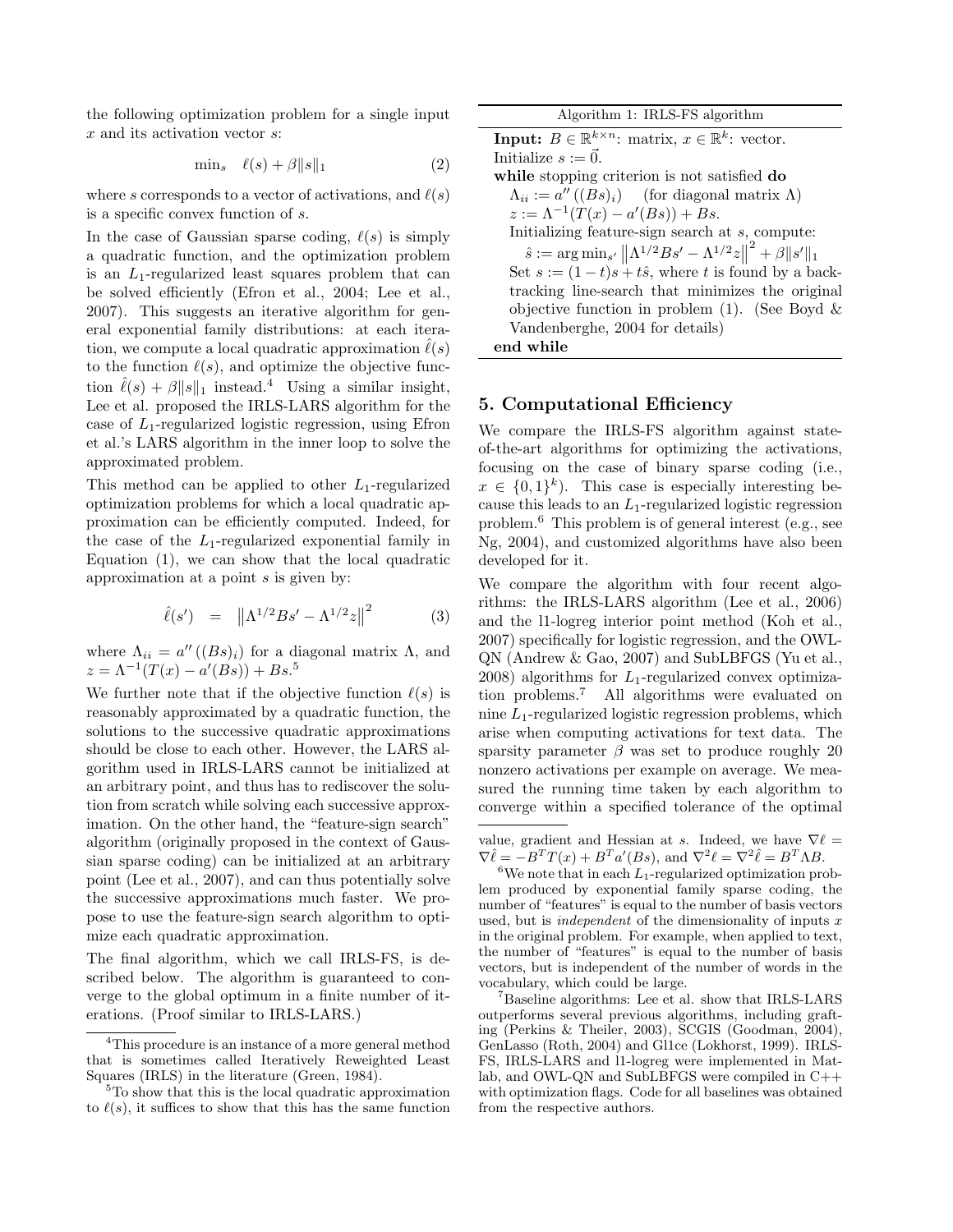the following optimization problem for a single input x and its activation vector s:

$$
\min_{s} \quad \ell(s) + \beta \|s\|_1 \tag{2}
$$

where s corresponds to a vector of activations, and  $\ell(s)$ is a specific convex function of s.

In the case of Gaussian sparse coding,  $\ell(s)$  is simply a quadratic function, and the optimization problem is an  $L_1$ -regularized least squares problem that can be solved efficiently (Efron et al., 2004; Lee et al., 2007). This suggests an iterative algorithm for general exponential family distributions: at each iteration, we compute a local quadratic approximation  $\ell(s)$ to the function  $\ell(s)$ , and optimize the objective function  $\hat{\ell}(s) + \beta \|s\|_1$  instead.<sup>4</sup> Using a similar insight, Lee et al. proposed the IRLS-LARS algorithm for the case of  $L_1$ -regularized logistic regression, using Efron et al.'s LARS algorithm in the inner loop to solve the approximated problem.

This method can be applied to other  $L_1$ -regularized optimization problems for which a local quadratic approximation can be efficiently computed. Indeed, for the case of the  $L_1$ -regularized exponential family in Equation (1), we can show that the local quadratic approximation at a point s is given by:

$$
\hat{\ell}(s') = ||\Lambda^{1/2}Bs' - \Lambda^{1/2}z||^2
$$
 (3)

where  $\Lambda_{ii} = a''((Bs)_i)$  for a diagonal matrix  $\Lambda$ , and  $z = \Lambda^{-1}(T(x) - a'(Bs)) + Bs^{5}$ 

We further note that if the objective function  $\ell(s)$  is reasonably approximated by a quadratic function, the solutions to the successive quadratic approximations should be close to each other. However, the LARS algorithm used in IRLS-LARS cannot be initialized at an arbitrary point, and thus has to rediscover the solution from scratch while solving each successive approximation. On the other hand, the "feature-sign search" algorithm (originally proposed in the context of Gaussian sparse coding) can be initialized at an arbitrary point (Lee et al., 2007), and can thus potentially solve the successive approximations much faster. We propose to use the feature-sign search algorithm to optimize each quadratic approximation.

The final algorithm, which we call IRLS-FS, is described below. The algorithm is guaranteed to converge to the global optimum in a finite number of iterations. (Proof similar to IRLS-LARS.)

Algorithm 1: IRLS-FS algorithm **Input:**  $B \in \mathbb{R}^{k \times n}$ : matrix,  $x \in \mathbb{R}^k$ : vector. Initialize  $s := \vec{0}$ . while stopping criterion is not satisfied do  $\Lambda_{ii} := a''((Bs)_i)$  (for diagonal matrix  $\Lambda$ )  $z := \Lambda^{-1}(T(x) - a'(Bs)) + Bs.$ Initializing feature-sign search at s, compute:  $\hat{s} := \arg \min_{s'} ||\Lambda^{1/2}Bs' - \Lambda^{1/2}z||$  $2^2 + \beta \|s'\|_1$ Set  $s := (1-t)s + t\hat{s}$ , where t is found by a backtracking line-search that minimizes the original objective function in problem  $(1)$ . (See Boyd & Vandenberghe, 2004 for details) end while

## 5. Computational Efficiency

We compare the IRLS-FS algorithm against stateof-the-art algorithms for optimizing the activations, focusing on the case of binary sparse coding (i.e.,  $x \in \{0,1\}^k$ . This case is especially interesting because this leads to an  $L_1$ -regularized logistic regression problem.<sup>6</sup> This problem is of general interest (e.g., see Ng, 2004), and customized algorithms have also been developed for it.

We compare the algorithm with four recent algorithms: the IRLS-LARS algorithm (Lee et al., 2006) and the l1-logreg interior point method (Koh et al., 2007) specifically for logistic regression, and the OWL-QN (Andrew & Gao, 2007) and SubLBFGS (Yu et al., 2008) algorithms for  $L_1$ -regularized convex optimization problems.<sup>7</sup> All algorithms were evaluated on nine  $L_1$ -regularized logistic regression problems, which arise when computing activations for text data. The sparsity parameter  $\beta$  was set to produce roughly 20 nonzero activations per example on average. We measured the running time taken by each algorithm to converge within a specified tolerance of the optimal

<sup>6</sup>We note that in each  $L_1$ -regularized optimization problem produced by exponential family sparse coding, the number of "features" is equal to the number of basis vectors used, but is *independent* of the dimensionality of inputs  $x$ in the original problem. For example, when applied to text, the number of "features" is equal to the number of basis vectors, but is independent of the number of words in the vocabulary, which could be large.

<sup>7</sup>Baseline algorithms: Lee et al. show that IRLS-LARS outperforms several previous algorithms, including grafting (Perkins & Theiler, 2003), SCGIS (Goodman, 2004), GenLasso (Roth, 2004) and Gl1ce (Lokhorst, 1999). IRLS-FS, IRLS-LARS and l1-logreg were implemented in Matlab, and OWL-QN and SubLBFGS were compiled in C++ with optimization flags. Code for all baselines was obtained from the respective authors.

<sup>&</sup>lt;sup>4</sup>This procedure is an instance of a more general method that is sometimes called Iteratively Reweighted Least Squares (IRLS) in the literature (Green, 1984).

<sup>5</sup>To show that this is the local quadratic approximation to  $\ell(s)$ , it suffices to show that this has the same function

value, gradient and Hessian at s. Indeed, we have  $\nabla \ell =$  $\nabla \hat{\ell} = -B^T T(x) + B^T a'(Bs)$ , and  $\nabla^2 \ell = \nabla^2 \hat{\ell} = B^T \Lambda B$ .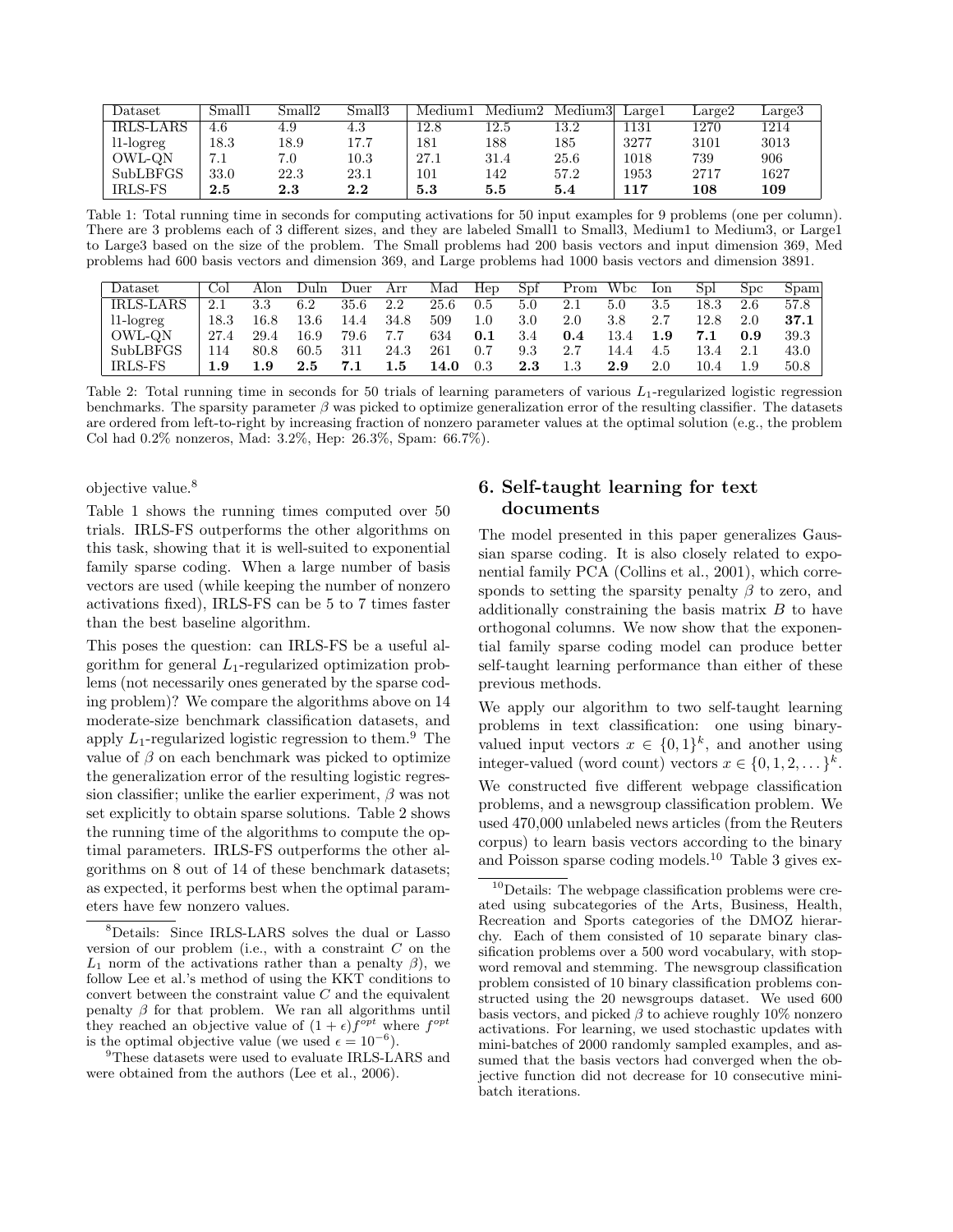| Dataset          | Small1  | Small2  | Small3  | Medium1 | Median <sub>2</sub> | Medium3 | Largel | Large2  | Large <sup>3</sup> |
|------------------|---------|---------|---------|---------|---------------------|---------|--------|---------|--------------------|
| <b>IRLS-LARS</b> | 4.6     | 4.9     | 4.3     | 12.8    | 12.5                | 13.2    | .131   | 1270    | 1214               |
| $11$ -logreg     | 18.3    | 18.9    | 17.7    | 181     | 188                 | 185     | 3277   | 3101    | 3013               |
| OWL-QN           | 7.1     | 7.0     | 10.3    | 27.1    | 31.4                | 25.6    | 1018   | 739     | 906                |
| <b>SubLBFGS</b>  | 33.0    | 22.3    | 23.1    | 101     | 142                 | 57.2    | 1953   | 2717    | 1627               |
| IRLS-FS          | $2.5\,$ | $2.3\,$ | $2.2\,$ | 5.3     | 5.5                 | 5.4     | 117    | $108\,$ | 109                |

Table 1: Total running time in seconds for computing activations for 50 input examples for 9 problems (one per column). There are 3 problems each of 3 different sizes, and they are labeled Small1 to Small3, Medium1 to Medium3, or Large1 to Large3 based on the size of the problem. The Small problems had 200 basis vectors and input dimension 369, Med problems had 600 basis vectors and dimension 369, and Large problems had 1000 basis vectors and dimension 3891.

| Dataset          | Col           | Alon | Duln    | Duer | Arr  | Mad  | Hep       | Spf     | Prom | Wbc     | Ion | Spl      | S <sub>DC</sub> | Spam |
|------------------|---------------|------|---------|------|------|------|-----------|---------|------|---------|-----|----------|-----------------|------|
| <b>IRLS-LARS</b> |               | 3.3  | 6.2     | 35.6 | 2.2  | 25.6 | $\rm 0.5$ | 5.0     | 2.1  | 5.0     | 3.5 | $18.3\,$ | 2.6             | 57.8 |
| $11$ -logreg     | 18.3          | 16.8 | 13.6    | 14.4 | 34.8 | 509  | $1.0\,$   | 3.0     | 2.0  | $3.8\,$ | 2.7 | 12.8     | 2.0             | 37.1 |
| OWL-QN           | 27.4          | 29.4 | 16.9    | 79.6 | 7.7  | 634  | 0.1       | 3.4     | 0.4  | 13.4    | 1.9 | 7.1      | 0.9             | 39.3 |
| SubLBFGS         | <sup>14</sup> | 80.8 | 60.5    | 311  | 24.3 | 261  | 0.7       | 9.3     |      | 14.4    | 4.5 |          |                 | 43.0 |
| IRLS-FS          | $1.9\,$       | 1.9  | $2.5\,$ |      | 1.5  | 14.0 | $\rm 0.3$ | $2.3\,$ |      | 2.9     | 2.0 | 10.4     | 1.9             | 50.8 |

Table 2: Total running time in seconds for 50 trials of learning parameters of various  $L_1$ -regularized logistic regression benchmarks. The sparsity parameter  $\beta$  was picked to optimize generalization error of the resulting classifier. The datasets are ordered from left-to-right by increasing fraction of nonzero parameter values at the optimal solution (e.g., the problem Col had 0.2% nonzeros, Mad: 3.2%, Hep: 26.3%, Spam: 66.7%).

objective value.<sup>8</sup>

Table 1 shows the running times computed over 50 trials. IRLS-FS outperforms the other algorithms on this task, showing that it is well-suited to exponential family sparse coding. When a large number of basis vectors are used (while keeping the number of nonzero activations fixed), IRLS-FS can be 5 to 7 times faster than the best baseline algorithm.

This poses the question: can IRLS-FS be a useful algorithm for general  $L_1$ -regularized optimization problems (not necessarily ones generated by the sparse coding problem)? We compare the algorithms above on 14 moderate-size benchmark classification datasets, and apply  $L_1$ -regularized logistic regression to them.<sup>9</sup> The value of  $\beta$  on each benchmark was picked to optimize the generalization error of the resulting logistic regression classifier; unlike the earlier experiment,  $\beta$  was not set explicitly to obtain sparse solutions. Table 2 shows the running time of the algorithms to compute the optimal parameters. IRLS-FS outperforms the other algorithms on 8 out of 14 of these benchmark datasets; as expected, it performs best when the optimal parameters have few nonzero values.

 $^{9}{\rm These}$  datasets were used to evaluate IRLS-LARS and were obtained from the authors (Lee et al., 2006).

# 6. Self-taught learning for text documents

The model presented in this paper generalizes Gaussian sparse coding. It is also closely related to exponential family PCA (Collins et al., 2001), which corresponds to setting the sparsity penalty  $\beta$  to zero, and additionally constraining the basis matrix  $B$  to have orthogonal columns. We now show that the exponential family sparse coding model can produce better self-taught learning performance than either of these previous methods.

We apply our algorithm to two self-taught learning problems in text classification: one using binaryvalued input vectors  $x \in \{0,1\}^k$ , and another using integer-valued (word count) vectors  $x \in \{0, 1, 2, \dots\}^k$ . We constructed five different webpage classification problems, and a newsgroup classification problem. We used 470,000 unlabeled news articles (from the Reuters corpus) to learn basis vectors according to the binary and Poisson sparse coding models.<sup>10</sup> Table 3 gives ex-

<sup>8</sup>Details: Since IRLS-LARS solves the dual or Lasso version of our problem (i.e., with a constraint  $C$  on the  $L_1$  norm of the activations rather than a penalty  $\beta$ ), we follow Lee et al.'s method of using the KKT conditions to convert between the constraint value  $C$  and the equivalent penalty  $\beta$  for that problem. We ran all algorithms until they reached an objective value of  $(1 + \epsilon) f^{\text{opt}}$  where  $f^{\text{opt}}$ is the optimal objective value (we used  $\epsilon = 10^{-6}$ ).

 $10$ Details: The webpage classification problems were created using subcategories of the Arts, Business, Health, Recreation and Sports categories of the DMOZ hierarchy. Each of them consisted of 10 separate binary classification problems over a 500 word vocabulary, with stopword removal and stemming. The newsgroup classification problem consisted of 10 binary classification problems constructed using the 20 newsgroups dataset. We used 600 basis vectors, and picked  $\beta$  to achieve roughly 10% nonzero activations. For learning, we used stochastic updates with mini-batches of 2000 randomly sampled examples, and assumed that the basis vectors had converged when the objective function did not decrease for 10 consecutive minibatch iterations.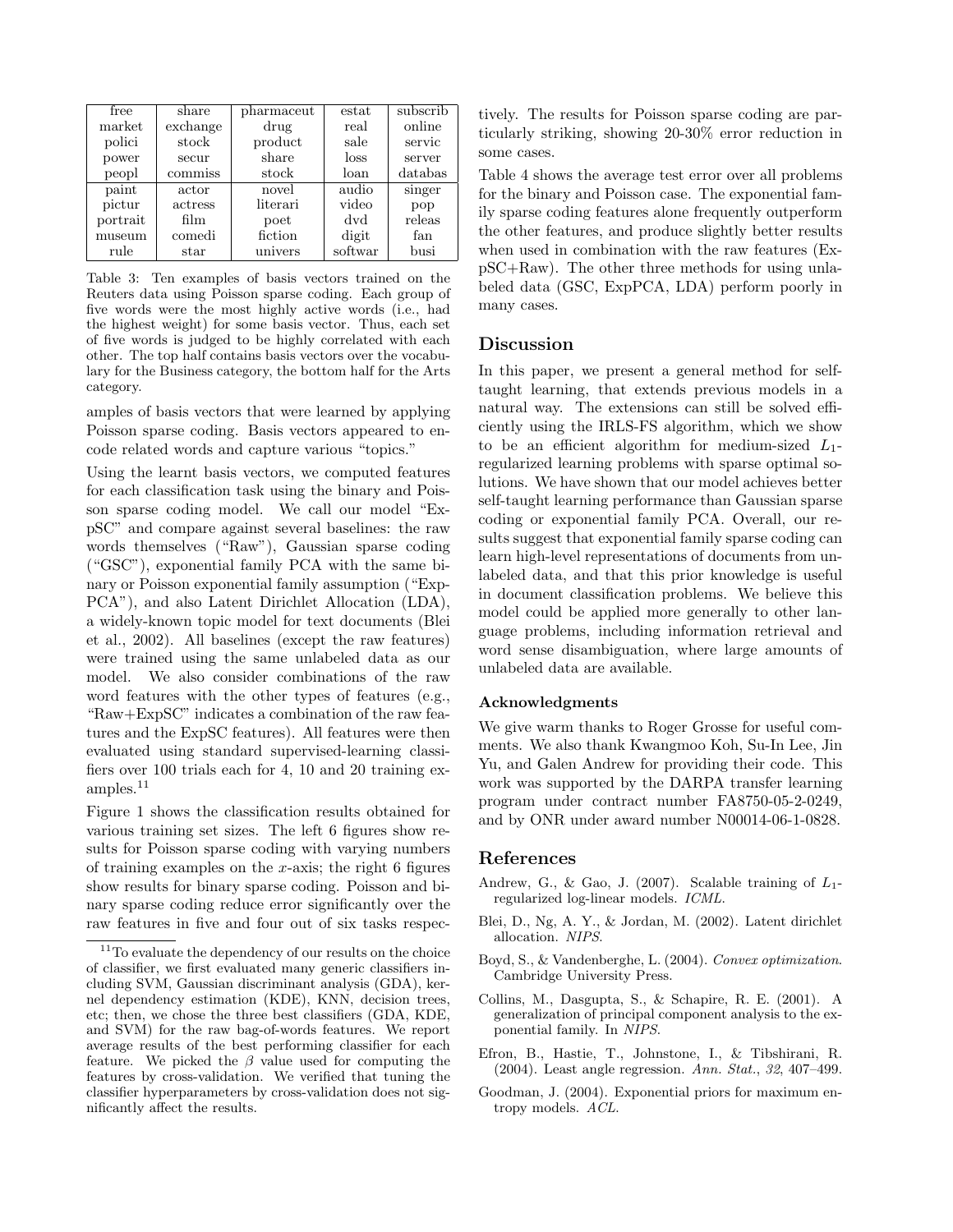| free     | share    | pharmaceut | estat   | subscrib |
|----------|----------|------------|---------|----------|
| market   | exchange | drug       | real    | online   |
| polici   | stock    | product    | sale    | servic   |
| power    | secur    | share      | loss    | server   |
| peopl    | commiss  | stock      | loan    | databas  |
| paint    | actor    | novel      | audio   | singer   |
| pictur   | actress  | literari   | video   | pop      |
| portrait | film     | poet       | dvd     | releas   |
| museum   | comedi   | fiction    | digit   | fan      |
| rule     | star     | univers    | softwar | busi     |

Table 3: Ten examples of basis vectors trained on the Reuters data using Poisson sparse coding. Each group of five words were the most highly active words (i.e., had the highest weight) for some basis vector. Thus, each set of five words is judged to be highly correlated with each other. The top half contains basis vectors over the vocabulary for the Business category, the bottom half for the Arts category.

amples of basis vectors that were learned by applying Poisson sparse coding. Basis vectors appeared to encode related words and capture various "topics."

Using the learnt basis vectors, we computed features for each classification task using the binary and Poisson sparse coding model. We call our model "ExpSC" and compare against several baselines: the raw words themselves ("Raw"), Gaussian sparse coding ("GSC"), exponential family PCA with the same binary or Poisson exponential family assumption ("Exp-PCA"), and also Latent Dirichlet Allocation (LDA), a widely-known topic model for text documents (Blei et al., 2002). All baselines (except the raw features) were trained using the same unlabeled data as our model. We also consider combinations of the raw word features with the other types of features (e.g., "Raw+ExpSC" indicates a combination of the raw features and the ExpSC features). All features were then evaluated using standard supervised-learning classifiers over 100 trials each for 4, 10 and 20 training ex $amples.<sup>11</sup>$ 

Figure 1 shows the classification results obtained for various training set sizes. The left 6 figures show results for Poisson sparse coding with varying numbers of training examples on the  $x$ -axis; the right 6 figures show results for binary sparse coding. Poisson and binary sparse coding reduce error significantly over the raw features in five and four out of six tasks respectively. The results for Poisson sparse coding are particularly striking, showing 20-30% error reduction in some cases.

Table 4 shows the average test error over all problems for the binary and Poisson case. The exponential family sparse coding features alone frequently outperform the other features, and produce slightly better results when used in combination with the raw features (ExpSC+Raw). The other three methods for using unlabeled data (GSC, ExpPCA, LDA) perform poorly in many cases.

#### Discussion

In this paper, we present a general method for selftaught learning, that extends previous models in a natural way. The extensions can still be solved efficiently using the IRLS-FS algorithm, which we show to be an efficient algorithm for medium-sized  $L_1$ regularized learning problems with sparse optimal solutions. We have shown that our model achieves better self-taught learning performance than Gaussian sparse coding or exponential family PCA. Overall, our results suggest that exponential family sparse coding can learn high-level representations of documents from unlabeled data, and that this prior knowledge is useful in document classification problems. We believe this model could be applied more generally to other language problems, including information retrieval and word sense disambiguation, where large amounts of unlabeled data are available.

#### Acknowledgments

We give warm thanks to Roger Grosse for useful comments. We also thank Kwangmoo Koh, Su-In Lee, Jin Yu, and Galen Andrew for providing their code. This work was supported by the DARPA transfer learning program under contract number FA8750-05-2-0249, and by ONR under award number N00014-06-1-0828.

#### References

- Andrew, G., & Gao, J. (2007). Scalable training of  $L_1$ regularized log-linear models. ICML.
- Blei, D., Ng, A. Y., & Jordan, M. (2002). Latent dirichlet allocation. NIPS.
- Boyd, S., & Vandenberghe, L. (2004). Convex optimization. Cambridge University Press.
- Collins, M., Dasgupta, S., & Schapire, R. E. (2001). A generalization of principal component analysis to the exponential family. In NIPS.
- Efron, B., Hastie, T., Johnstone, I., & Tibshirani, R. (2004). Least angle regression. Ann. Stat., 32, 407–499.
- Goodman, J. (2004). Exponential priors for maximum entropy models. ACL.

<sup>&</sup>lt;sup>11</sup>To evaluate the dependency of our results on the choice of classifier, we first evaluated many generic classifiers including SVM, Gaussian discriminant analysis (GDA), kernel dependency estimation (KDE), KNN, decision trees, etc; then, we chose the three best classifiers (GDA, KDE, and SVM) for the raw bag-of-words features. We report average results of the best performing classifier for each feature. We picked the  $\beta$  value used for computing the features by cross-validation. We verified that tuning the classifier hyperparameters by cross-validation does not significantly affect the results.